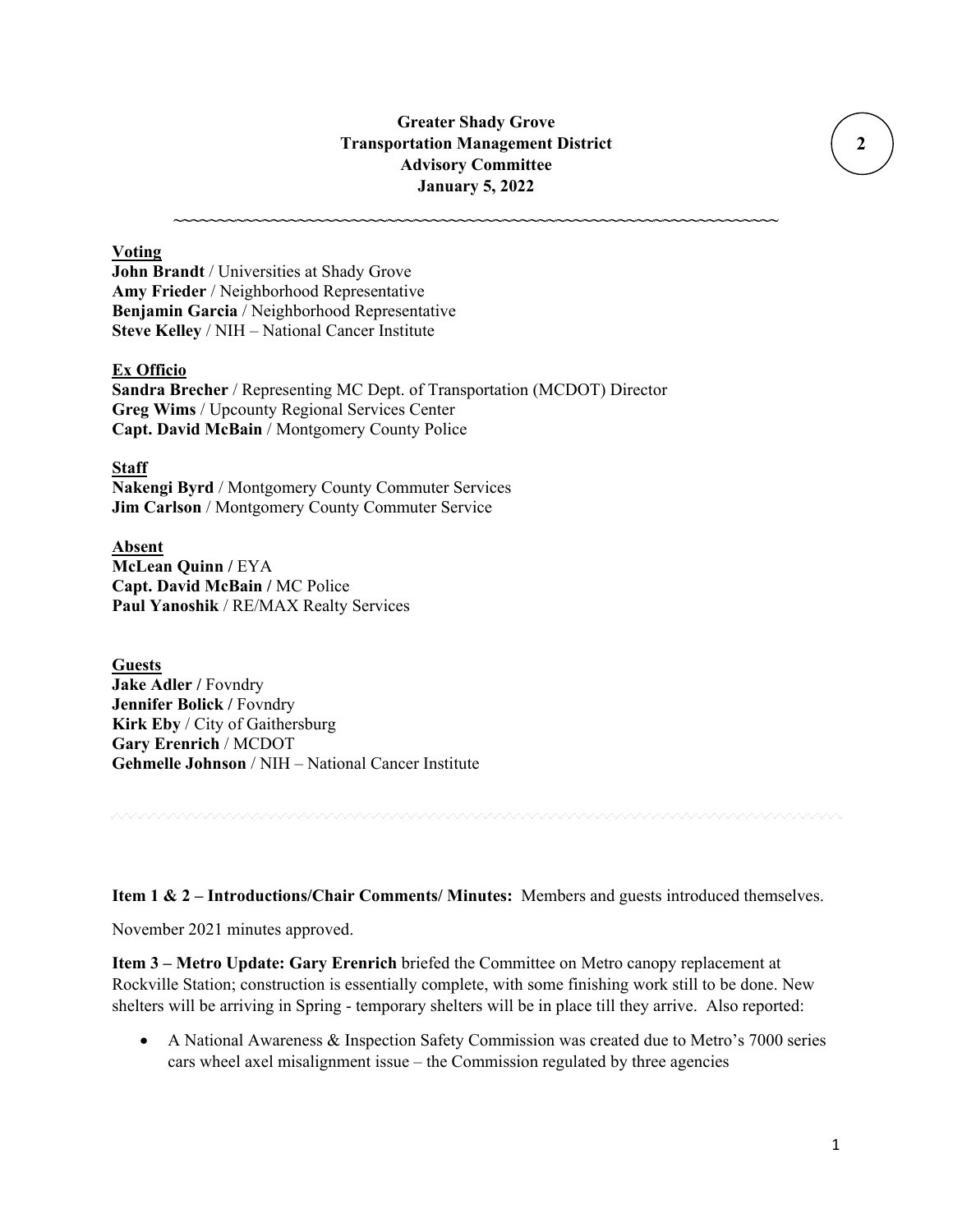## **Greater Shady Grove Transportation Management District Advisory Committee January 5, 2022**

**~~~~~~~~~~~~~~~~~~~~~~~~~~~~~~~~~~~~~~~~~~~~~~~~~~~~~~~~~~~~~~~~~~~~**

### **Voting**

**John Brandt** / Universities at Shady Grove **Amy Frieder** / Neighborhood Representative **Benjamin Garcia** / Neighborhood Representative **Steve Kelley** / NIH – National Cancer Institute

### **Ex Officio**

**Sandra Brecher** / Representing MC Dept. of Transportation (MCDOT) Director **Greg Wims** / Upcounty Regional Services Center **Capt. David McBain** / Montgomery County Police

#### **Staff**

**Nakengi Byrd** / Montgomery County Commuter Services **Jim Carlson** / Montgomery County Commuter Service

**Absent McLean Quinn /** EYA **Capt. David McBain /** MC Police **Paul Yanoshik** / RE/MAX Realty Services

**Guests Jake Adler /** Fovndry **Jennifer Bolick / Fovndry Kirk Eby** / City of Gaithersburg **Gary Erenrich** / MCDOT **Gehmelle Johnson** / NIH – National Cancer Institute

**Item 1 & 2 – Introductions/Chair Comments/ Minutes:** Members and guests introduced themselves.

November 2021 minutes approved.

**Item 3 – Metro Update: Gary Erenrich** briefed the Committee on Metro canopy replacement at Rockville Station; construction is essentially complete, with some finishing work still to be done. New shelters will be arriving in Spring - temporary shelters will be in place till they arrive. Also reported:

• A National Awareness & Inspection Safety Commission was created due to Metro's 7000 series cars wheel axel misalignment issue – the Commission regulated by three agencies

 **2**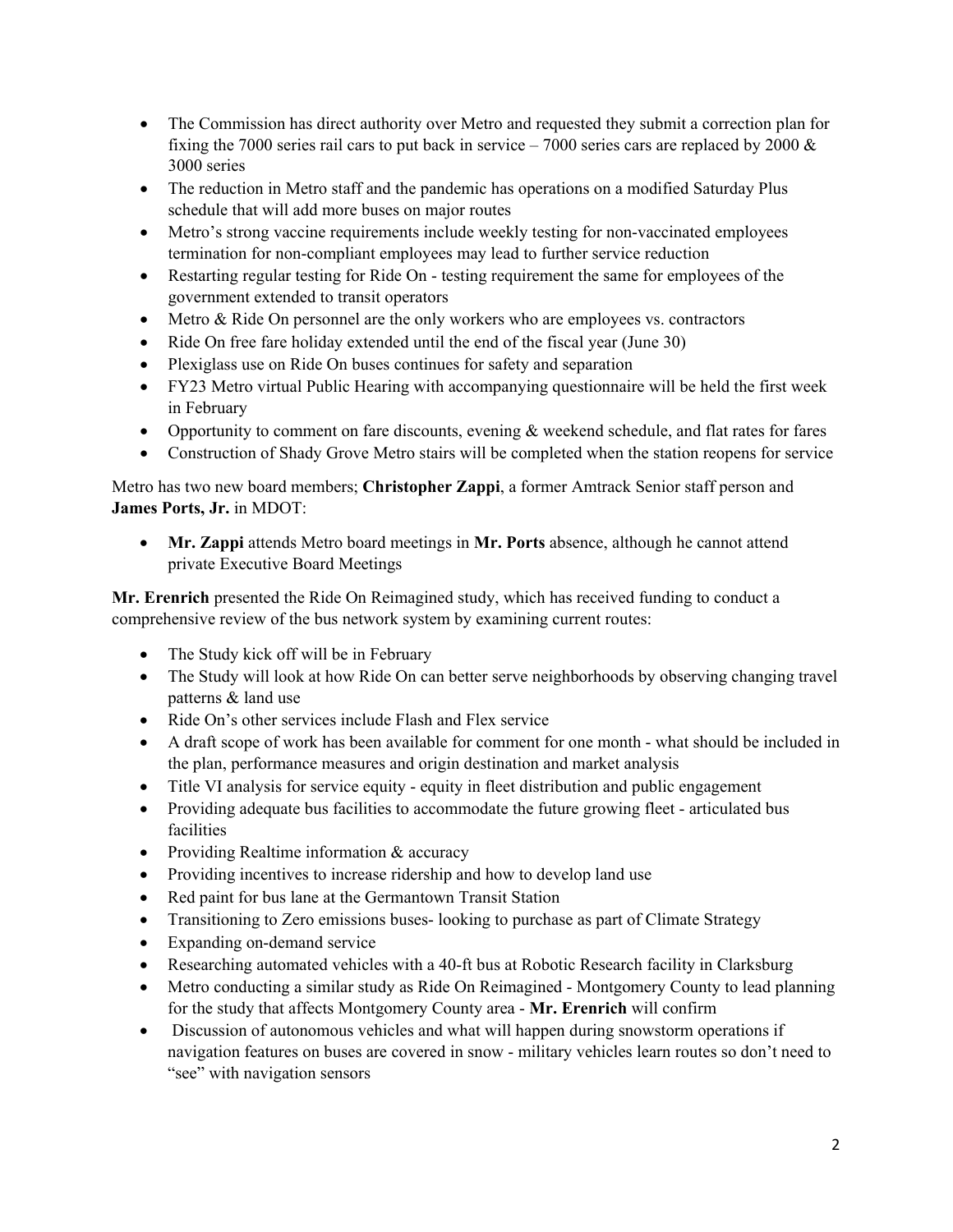- The Commission has direct authority over Metro and requested they submit a correction plan for fixing the 7000 series rail cars to put back in service – 7000 series cars are replaced by 2000  $\&$ 3000 series
- The reduction in Metro staff and the pandemic has operations on a modified Saturday Plus schedule that will add more buses on major routes
- Metro's strong vaccine requirements include weekly testing for non-vaccinated employees termination for non-compliant employees may lead to further service reduction
- Restarting regular testing for Ride On testing requirement the same for employees of the government extended to transit operators
- Metro & Ride On personnel are the only workers who are employees vs. contractors
- Ride On free fare holiday extended until the end of the fiscal year (June 30)
- Plexiglass use on Ride On buses continues for safety and separation
- FY23 Metro virtual Public Hearing with accompanying questionnaire will be held the first week in February
- Opportunity to comment on fare discounts, evening & weekend schedule, and flat rates for fares
- Construction of Shady Grove Metro stairs will be completed when the station reopens for service

Metro has two new board members; **Christopher Zappi**, a former Amtrack Senior staff person and **James Ports, Jr.** in MDOT:

• **Mr. Zappi** attends Metro board meetings in **Mr. Ports** absence, although he cannot attend private Executive Board Meetings

**Mr. Erenrich** presented the Ride On Reimagined study, which has received funding to conduct a comprehensive review of the bus network system by examining current routes:

- The Study kick off will be in February
- The Study will look at how Ride On can better serve neighborhoods by observing changing travel patterns & land use
- Ride On's other services include Flash and Flex service
- A draft scope of work has been available for comment for one month what should be included in the plan, performance measures and origin destination and market analysis
- Title VI analysis for service equity equity in fleet distribution and public engagement
- Providing adequate bus facilities to accommodate the future growing fleet articulated bus facilities
- Providing Realtime information & accuracy
- Providing incentives to increase ridership and how to develop land use
- Red paint for bus lane at the Germantown Transit Station
- Transitioning to Zero emissions buses-looking to purchase as part of Climate Strategy
- Expanding on-demand service
- Researching automated vehicles with a 40-ft bus at Robotic Research facility in Clarksburg
- Metro conducting a similar study as Ride On Reimagined Montgomery County to lead planning for the study that affects Montgomery County area - **Mr. Erenrich** will confirm
- Discussion of autonomous vehicles and what will happen during snowstorm operations if navigation features on buses are covered in snow - military vehicles learn routes so don't need to "see" with navigation sensors